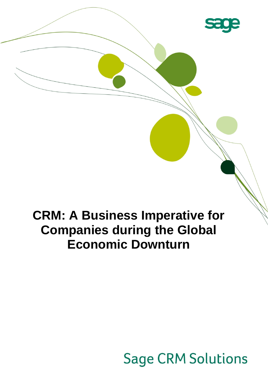

## **CRM: A Business Imperative for Companies during the Global Economic Downturn**

# <u>in the company of the company of the company of the company of the company of the company of the company of the company of the company of the company of the company of the company of the company of the company of the comp</u>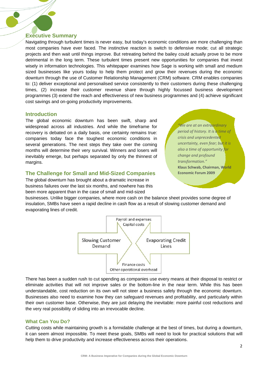## **Executive Summary**

Navigating through turbulent times is never easy, but today's economic conditions are more challenging than most companies have ever faced. The instinctive reaction is switch to defensive mode; cut all strategic projects and then wait until things improve. But retreating behind the bailey could actually prove to be more detrimental in the long term. These turbulent times present new opportunities for companies that invest wisely in information technologies. This whitepaper examines how Sage is working with small and medium sized businesses like yours today to help them protect and grow their revenues during the economic downturn through the use of Customer Relationship Management (CRM) software. CRM enables companies to: (1) deliver exceptional and personalised service consistently to their customers during these challenging times, (2) increase their customer revenue share through highly focussed business development programmes (3) extend the reach and effectiveness of new business programmes and (4) achieve significant cost savings and on-going productivity improvements.

## **Introduction**

The global economic downturn has been swift, sharp and widespread across all industries. And while the timeframe for recovery is debated on a daily basis, one certainty remains true: companies today face the toughest economic conditions in several generations. The next steps they take over the coming months will determine their very survival. Winners and losers will inevitably emerge, but perhaps separated by only the thinnest of margins.

## **The Challenge for Small and Mid-Sized Companies**

The global downturn has brought about a dramatic increase in business failures over the last six months, and nowhere has this been more apparent than in the case of small and mid-sized

*"We are at an extraordinary period of history. It is a time of crisis and unprecedented uncertainty, even fear; but it is also a time of opportunity for change and profound transformation."*  **Klaus Schwab, Chairman, World Economic Forum 2009**

businesses. Unlike bigger companies, where more cash on the balance sheet provides some degree of insulation, SMBs have seen a rapid decline in cash flow as a result of slowing customer demand and evaporating lines of credit.



There has been a sudden rush to cut spending as companies use every means at their disposal to restrict or eliminate activities that will not improve sales or the bottom-line in the near term. While this has been understandable, cost reduction on its own will not steer a business safely through the economic downturn. Businesses also need to examine how they can safeguard revenues and profitability, and particularly within their own customer base. Otherwise, they are just delaying the inevitable: more painful cost reductions and the very real possibility of sliding into an irrevocable decline.

## **What Can You Do?**

Cutting costs while maintaining growth is a formidable challenge at the best of times, but during a downturn, it can seem almost impossible. To meet these goals, SMBs will need to look for practical solutions that will help them to drive productivity and increase effectiveness across their operations.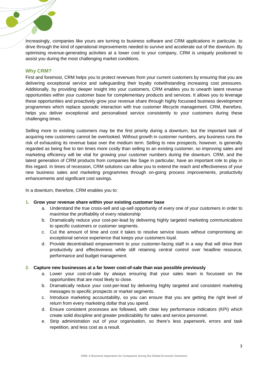Increasingly, companies like yours are turning to business software and CRM applications in particular, to drive through the kind of operational improvements needed to survive and accelerate out of the downturn. By optimising revenue-generating activities at a lower cost to your company, CRM is uniquely positioned to assist you during the most challenging market conditions.

## **Why CRM?**

First and foremost, CRM helps you to protect revenues from your current customers by ensuring that you are delivering exceptional service and safeguarding their loyalty notwithstanding increasing cost pressures. Additionally, by providing deeper insight into your customers, CRM enables you to unearth latent revenue opportunities within your customer base for complementary products and services. It allows you to leverage these opportunities and proactively grow your revenue share through highly focussed business development programmes which replace sporadic interaction with true customer lifecycle management. CRM, therefore, helps you deliver exceptional and personalised service consistently to your customers during these challenging times.

Selling more to existing customers may be the first priority during a downturn, but the important task of acquiring new customers cannot be overlooked. Without growth in customer numbers, any business runs the risk of exhausting its revenue base over the medium term. Selling to new prospects, however, is generally regarded as being five to ten times more costly than selling to an existing customer, so improving sales and marketing efficiency will be vital for growing your customer numbers during the downturn. CRM, and the latest generation of CRM products from companies like Sage in particular, have an important role to play in this regard. In times of recession, CRM solutions can allow you to extend the reach and effectiveness of your new business sales and marketing programmes through on-going process improvements, productivity enhancements and significant cost savings.

In a downturn, therefore, CRM enables you to:

## **1. Grow your revenue share within your existing customer base**

- a. Understand the true cross-sell and up-sell opportunity of every one of your customers in order to maximise the profitability of every relationship
- b. Dramatically reduce your cost-per-lead by delivering highly targeted marketing communications to specific customers or customer segments.
- c. Cut the amount of time and cost it takes to resolve service issues without compromising an exceptional service experience that keeps your customers loyal.
- d. Provide decentralised empowerment to your customer-facing staff in a way that will drive their productivity and effectiveness while still retaining central control over headline resource, performance and budget management.

## **2. Capture new businesses at a far lower cost-of-sale than was possible previously**

- a. Lower your cost-of-sale by always ensuring that your sales team is focussed on the opportunities that are most likely to close.
- b. Dramatically reduce your cost-per-lead by delivering highly targeted and consistent marketing messages to specific prospects or market segments.
- c. Introduce marketing accountability, so you can ensure that you are getting the right level of return from every marketing dollar that you spend.
- d. Ensure consistent processes are followed, with clear key performance indicators (KPI) which create solid discipline and greater predictability for sales and service personnel.
- e. Strip administration out of your organisation, so there's less paperwork, errors and task repetition, and less cost as a result.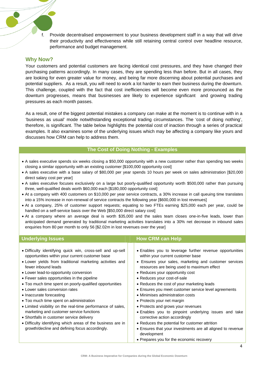f. Provide decentralised empowerment to your business development staff in a way that will drive their productivity and effectiveness while still retaining central control over headline resource, performance and budget management.

## **Why Now?**

Your customers and potential customers are facing identical cost pressures, and they have changed their purchasing patterns accordingly. In many cases, they are spending less than before. But in all cases, they are looking for even greater value for money, and being far more discerning about potential purchases and potential suppliers. As a result, you will need to work a lot harder to earn their business during the downturn. This challenge, coupled with the fact that cost inefficiencies will become even more pronounced as the downturn progresses, means that businesses are likely to experience significant and growing trading pressures as each month passes.

As a result, one of the biggest potential mistakes a company can make at the moment is to continue with in a 'business as usual' mode notwithstanding exceptional trading circumstances. The 'cost of doing nothing', therefore, is significant. The table below highlights the potential cost of inaction through a series of practical examples. It also examines some of the underlying issues which may be affecting a company like yours and discusses how CRM can help to address them.

## **The Cost of Doing Nothing - Examples**

- A sales executive spends six weeks closing a \$50,000 opportunity with a new customer rather than spending two weeks closing a similar opportunity with an existing customer [\$100,000 opportunity cost]
- A sales executive with a base salary of \$80,000 per year spends 10 hours per week on sales administration [\$20,000 direct salary cost per year]
- A sales executive focuses exclusively on a large but poorly-qualified opportunity worth \$500,000 rather than pursuing three, well-qualified deals worth \$60,000 each [\$180,000 opportunity cost]
- At a company with 400 customers on \$10,000 per year service contracts, a 30% increase in call queuing time translates into a 15% increase in non-renewal of service contracts the following year [\$600,000 in lost revenues]
- At a company, 25% of customer support requests; equating to two FTEs earning \$25,000 each per year, could be handled on a self-service basis over the Web [\$50,000 direct salary cost]
- At a company where an average deal is worth \$35,000 and the sales team closes one-in-five leads, lower than anticipated demand generated by traditional marketing activities translates into a 30% net decrease in inbound sales enquiries from 80 per month to only 56 [\$2.02m in lost revenues over the year]

| <b>Underlying Issues</b>                                                                                                                                                                                                                                                                                                                                                                                                                                                                                                                                                                                                                                                                                                               | <b>How CRM can Help</b>                                                                                                                                                                                                                                                                                                                                                                                                                                                                                                                                                                                                                                                                                     |
|----------------------------------------------------------------------------------------------------------------------------------------------------------------------------------------------------------------------------------------------------------------------------------------------------------------------------------------------------------------------------------------------------------------------------------------------------------------------------------------------------------------------------------------------------------------------------------------------------------------------------------------------------------------------------------------------------------------------------------------|-------------------------------------------------------------------------------------------------------------------------------------------------------------------------------------------------------------------------------------------------------------------------------------------------------------------------------------------------------------------------------------------------------------------------------------------------------------------------------------------------------------------------------------------------------------------------------------------------------------------------------------------------------------------------------------------------------------|
| • Difficulty identifying quick win, cross-sell and up-sell<br>opportunities within your current customer base<br>• Lower yields from traditional marketing activities and<br>fewer inbound leads<br>• Lower lead-to-opportunity conversion<br>• Fewer sales opportunities in the pipeline<br>• Too much time spent on poorly-qualified opportunities<br>• Lower sales conversion rates<br>• Inaccurate forecasting<br>• Too much time spent on administration<br>• Limited visibility on the real-time performance of sales,<br>marketing and customer service functions<br>• Shortfalls in customer service delivery<br>• Difficulty identifying which areas of the business are in<br>growth/decline and defining focus accordingly. | • Enables you to leverage further revenue opportunities<br>within your current customer base<br>• Ensures your sales, marketing and customer services<br>resources are being used to maximum effect<br>• Reduces your opportunity cost<br>• Reduces your cost-of-sale<br>• Reduces the cost of your marketing leads<br>• Ensures you meet customer service level agreements<br>• Minimises administration costs<br>• Protects your net margin<br>• Protects and grows your revenues<br>• Enables you to pinpoint underlying issues and take<br>corrective action accordingly<br>• Reduces the potential for customer attrition<br>• Ensures that your investments are all aligned to revenue<br>development |
|                                                                                                                                                                                                                                                                                                                                                                                                                                                                                                                                                                                                                                                                                                                                        | • Prepares you for the economic recovery                                                                                                                                                                                                                                                                                                                                                                                                                                                                                                                                                                                                                                                                    |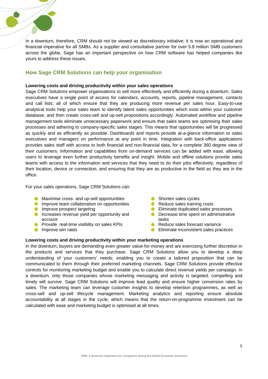

## **How Sage CRM Solutions can help your organisation**

## **Lowering costs and driving productivity within your sales operations**

Sage CRM Solutions empower organisations to sell more effectively and efficiently during a downturn. Sales executives have a single point of access for calendars, accounts, reports, pipeline management, contacts and call lists; all of which ensure that they are producing more revenue per sales hour. Easy-to-use analytical tools help your sales team to identify latent sales opportunities which exist within your customer database, and then create cross-sell and up-sell propositions accordingly. Automated workflow and pipeline management tools eliminate unnecessary paperwork and ensure that sales teams are optimising their sales processes and adhering to company-specific sales stages. This means that opportunities will be progressed as quickly and as efficiently as possible. Dashboards and reports provide at-a-glance information to sales executives and managers on performance at any point in time. Integration with back-office applications provides sales staff with access to both financial and non-financial data, for a complete 360 degree view of their customers. Information and capabilities from on-demand services can be added with ease, allowing users to leverage even further productivity benefits and insight. Mobile and offline solutions provide sales teams with access to the information and services that they need to do their jobs effectively; regardless of their location, device or connection, and ensuring that they are as productive in the field as they are in the office.

For your sales operations, Sage CRM Solutions can:

- **C** Maximise cross- and up-sell opportunities
- **Improve team collaboration on opportunities**
- **Improve prospect targeting**
- **Increases revenue yield per opportunity and** account
- **Provide real-time visibility on sales KPIs**
- **Improve win rates**
- **Shorten sales cycles**
- Reduce sales training costs
- **Eliminate duplicated sales processes**
- **O** Decrease time spent on administrative tasks
- Reduce sales forecast variance
- **Eliminate inconsistent sales practices**

## **Lowering costs and driving productivity within your marketing operations**

In the downturn, buyers are demanding even greater value-for-money and are exercising further discretion in the products and services that they purchase. Sage CRM Solutions allow you to develop a deep understanding of your customers' needs; enabling you to create a tailored proposition that can be communicated to them through their preferred marketing channels. Sage CRM Solutions provide effective controls for monitoring marketing budget and enable you to calculate direct revenue yields per campaign. In a downturn, only those companies whose marketing messaging and activity is targeted, compelling and timely will survive. Sage CRM Solutions will improve lead quality and ensure higher conversion rates by sales. The marketing team can leverage customer insights to develop retention programmes, as well as cross-sell and up-sell lifecycle management. Marketing analytics and reporting ensure absolute accountability at all stages in the cycle, which means that the return-on-programme investment can be calculated with ease and marketing budget is optimised at all times.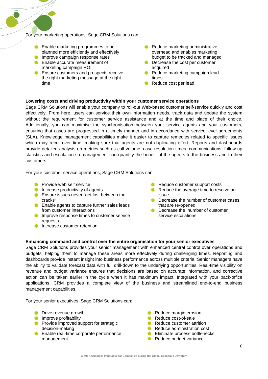For your marketing operations, Sage CRM Solutions can:

- **Enable marketing programmes to be** planned more efficiently and effectively
- **Improve campaign response rates**
- **Enable accurate measurement of** marketing campaign ROI
- Ensure customers and prospects receive the right marketing message at the right time
- Reduce marketing administrative overhead and enables marketing budget to be tracked and managed
- **Decrease the cost per customer** acquired
- Reduce marketing campaign lead times
- Reduce cost per lead

## **Lowering costs and driving productivity within your customer service operations**

Sage CRM Solutions will enable your company to roll-out Web-based customer self-service quickly and cost effectively. From here, users can service their own information needs, track data and update the system without the requirement for customer service assistance and at the time and place of their choice. Additionally, you can maximise the synchronisation between your service agents and your customers, ensuring that cases are progressed in a timely manner and in accordance with service level agreements (SLA). Knowledge management capabilities make it easier to capture remedies related to specific issues which may recur over time; making sure that agents are not duplicating effort. Reports and dashboards provide detailed analysis on metrics such as call volume, case resolution times, communications, follow-up statistics and escalation so management can quantify the benefit of the agents to the business and to their customers.

For your customer service operations, Sage CRM Solutions can:

- **Provide web self service**
- **Increase productivity of agents**
- **Ensure issues never "get lost between the** cracks"
- **C** Enable agents to capture further sales leads from customer interactions
- **Improve response times to customer service** requests
- Increase customer retention
- Reduce customer support costs
- Reduce the average time to resolve an issue
- **O** Decrease the number of customer cases that are re-opened
- **O** Decrease the number of customer service escalations

## **Enhancing command and control over the entire organisation for your senior executives**

Sage CRM Solutions provides your senior management with enhanced central control over operations and budgets, helping them to manage these areas more effectively during challenging times. Reporting and dashboards provide instant insight into business performance across multiple criteria. Senior managers have the ability to validate forecast data with full drill-down to the underlying opportunities. Real-time visibility on revenue and budget variance ensures that decisions are based on accurate information, and corrective action can be taken earlier in the cycle when it has maximum impact. Integrated with your back-office applications, CRM provides a complete view of the business and streamlined end-to-end business management capabilities.

For your senior executives, Sage CRM Solutions can:

- **Drive revenue growth**
- **Improve profitability**
- **Provide improved support for strategic** decision-making
- **C** Enable real-time corporate performance management
- Reduce margin erosion
- Reduce cost-of-sale
- Reduce customer attrition
- Reduce administration cost
- **Eliminate process bottlenecks**
- Reduce budget variance